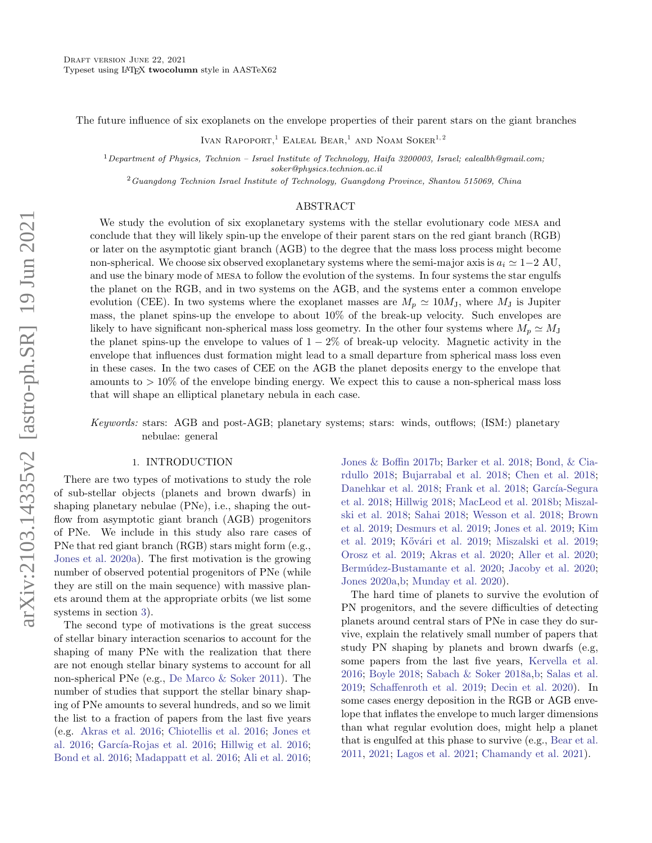The future influence of six exoplanets on the envelope properties of their parent stars on the giant branches

IVAN RAPOPORT,<sup>1</sup> EALEAL BEAR,<sup>1</sup> AND NOAM SOKER<sup>1,2</sup>

 $1$ Department of Physics, Technion – Israel Institute of Technology, Haifa 3200003, Israel; ealealbh@gmail.com;

soker@physics.technion.ac.il

 $2$ Guangdong Technion Israel Institute of Technology, Guangdong Province, Shantou 515069, China

### ABSTRACT

We study the evolution of six exoplanetary systems with the stellar evolutionary code mesa and conclude that they will likely spin-up the envelope of their parent stars on the red giant branch (RGB) or later on the asymptotic giant branch (AGB) to the degree that the mass loss process might become non-spherical. We choose six observed exoplanetary systems where the semi-major axis is  $a_i \approx 1-2$  AU, and use the binary mode of mesa to follow the evolution of the systems. In four systems the star engulfs the planet on the RGB, and in two systems on the AGB, and the systems enter a common envelope evolution (CEE). In two systems where the exoplanet masses are  $M_p \simeq 10 M_J$ , where  $M_J$  is Jupiter mass, the planet spins-up the envelope to about 10% of the break-up velocity. Such envelopes are likely to have significant non-spherical mass loss geometry. In the other four systems where  $M_p \simeq M_J$ the planet spins-up the envelope to values of  $1-2\%$  of break-up velocity. Magnetic activity in the envelope that influences dust formation might lead to a small departure from spherical mass loss even in these cases. In the two cases of CEE on the AGB the planet deposits energy to the envelope that amounts to  $> 10\%$  of the envelope binding energy. We expect this to cause a non-spherical mass loss that will shape an elliptical planetary nebula in each case.

# Keywords: stars: AGB and post-AGB; planetary systems; stars: winds, outflows; (ISM:) planetary nebulae: general

# 1. INTRODUCTION

<span id="page-0-0"></span>There are two types of motivations to study the role of sub-stellar objects (planets and brown dwarfs) in shaping planetary nebulae (PNe), i.e., shaping the outflow from asymptotic giant branch (AGB) progenitors of PNe. We include in this study also rare cases of PNe that red giant branch (RGB) stars might form (e.g., [Jones et al.](#page-5-0) [2020a\)](#page-5-0). The first motivation is the growing number of observed potential progenitors of PNe (while they are still on the main sequence) with massive planets around them at the appropriate orbits (we list some systems in section [3\)](#page-2-0).

The second type of motivations is the great success of stellar binary interaction scenarios to account for the shaping of many PNe with the realization that there are not enough stellar binary systems to account for all non-spherical PNe (e.g., [De Marco & Soker](#page-5-1) [2011\)](#page-5-1). The number of studies that support the stellar binary shaping of PNe amounts to several hundreds, and so we limit the list to a fraction of papers from the last five years (e.g. [Akras et al.](#page-5-2) [2016;](#page-5-2) [Chiotellis et al.](#page-5-3) [2016;](#page-5-3) [Jones et](#page-5-4) [al.](#page-5-4) [2016;](#page-5-6) García-Rojas et al. 2016; [Hillwig et al.](#page-5-6) 2016; [Bond et al.](#page-5-7) [2016;](#page-5-7) [Madappatt et al.](#page-6-0) [2016;](#page-6-0) [Ali et al.](#page-5-8) [2016;](#page-5-8) [Jones & Boffin](#page-5-9) [2017b;](#page-5-9) [Barker et al.](#page-5-10) [2018;](#page-5-10) [Bond, & Cia](#page-5-11)[rdullo](#page-5-11) [2018;](#page-5-11) [Bujarrabal et al.](#page-5-12) [2018;](#page-5-12) [Chen et al.](#page-5-13) [2018;](#page-5-13) [Danehkar et al.](#page-5-14) [2018;](#page-5-15) [Frank et al.](#page-5-15) 2018; García-Segura [et al.](#page-5-16) [2018;](#page-5-16) [Hillwig](#page-5-17) [2018;](#page-5-17) [MacLeod et al.](#page-6-1) [2018b;](#page-6-1) [Miszal](#page-6-2)[ski et al.](#page-6-2) [2018;](#page-6-2) [Sahai](#page-6-3) [2018;](#page-6-3) [Wesson et al.](#page-7-0) [2018;](#page-7-0) [Brown](#page-5-18) [et al.](#page-5-18) [2019;](#page-5-18) [Desmurs et al.](#page-5-19) [2019;](#page-5-19) [Jones et al.](#page-5-20) [2019;](#page-5-20) [Kim](#page-6-4) [et al.](#page-6-4) [2019;](#page-6-6) Kővári et al. 2019; [Miszalski et al.](#page-6-6) 2019; [Orosz et al.](#page-6-7) [2019;](#page-6-7) [Akras et al.](#page-5-21) [2020;](#page-5-21) [Aller et al.](#page-5-22) [2020;](#page-5-22) Bermúdez-Bustamante et al. [2020;](#page-5-24) [Jacoby et al.](#page-5-24) 2020; [Jones](#page-5-25) [2020a,](#page-5-25)[b;](#page-5-26) [Munday et al.](#page-6-8) [2020\)](#page-6-8).

The hard time of planets to survive the evolution of PN progenitors, and the severe difficulties of detecting planets around central stars of PNe in case they do survive, explain the relatively small number of papers that study PN shaping by planets and brown dwarfs (e.g, some papers from the last five years, [Kervella et al.](#page-5-27) [2016;](#page-5-27) [Boyle](#page-5-28) [2018;](#page-5-28) [Sabach & Soker](#page-6-9) [2018a,](#page-6-9)[b;](#page-6-10) [Salas et al.](#page-6-11) [2019;](#page-6-11) [Schaffenroth et al.](#page-6-12) [2019;](#page-6-12) [Decin et al.](#page-5-29) [2020\)](#page-5-29). In some cases energy deposition in the RGB or AGB envelope that inflates the envelope to much larger dimensions than what regular evolution does, might help a planet that is engulfed at this phase to survive (e.g., [Bear et al.](#page-5-30) [2011,](#page-5-30) [2021;](#page-5-31) [Lagos et al.](#page-6-13) [2021;](#page-6-13) [Chamandy et al.](#page-5-32) [2021\)](#page-5-32).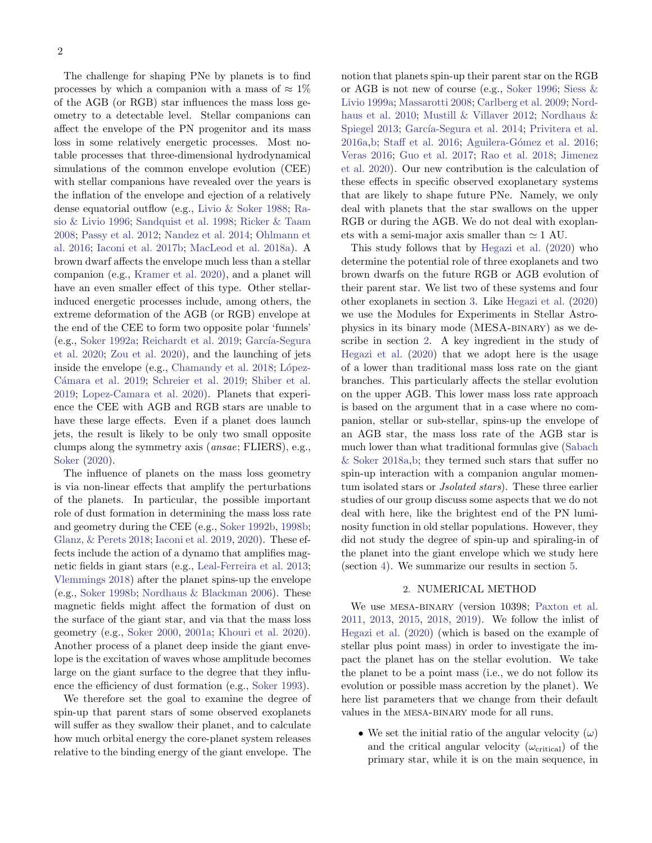The challenge for shaping PNe by planets is to find processes by which a companion with a mass of  $\approx 1\%$ of the AGB (or RGB) star influences the mass loss geometry to a detectable level. Stellar companions can affect the envelope of the PN progenitor and its mass loss in some relatively energetic processes. Most notable processes that three-dimensional hydrodynamical simulations of the common envelope evolution (CEE) with stellar companions have revealed over the years is the inflation of the envelope and ejection of a relatively dense equatorial outflow (e.g., [Livio & Soker](#page-6-14) [1988;](#page-6-14) [Ra](#page-6-15)[sio & Livio](#page-6-15) [1996;](#page-6-15) [Sandquist et al.](#page-6-16) [1998;](#page-6-16) [Ricker & Taam](#page-6-17) [2008;](#page-6-17) [Passy et al.](#page-6-18) [2012;](#page-6-18) [Nandez et al.](#page-6-19) [2014;](#page-6-19) [Ohlmann et](#page-6-20) [al.](#page-6-20) [2016;](#page-6-20) [Iaconi et al.](#page-5-33) [2017b;](#page-5-33) [MacLeod et al.](#page-6-21) [2018a\)](#page-6-21). A brown dwarf affects the envelope much less than a stellar companion (e.g., [Kramer et al.](#page-6-22) [2020\)](#page-6-22), and a planet will have an even smaller effect of this type. Other stellarinduced energetic processes include, among others, the extreme deformation of the AGB (or RGB) envelope at the end of the CEE to form two opposite polar 'funnels' (e.g., [Soker](#page-6-23) [1992a;](#page-6-23) [Reichardt et al.](#page-6-24) [2019;](#page-6-24) García-Segura [et al.](#page-5-34) [2020;](#page-5-34) [Zou et al.](#page-7-1) [2020\)](#page-7-1), and the launching of jets inside the envelope  $(e.g., Chamandy et al. 2018; López- $\frac{1}{2}$ )$  $(e.g., Chamandy et al. 2018; López- $\frac{1}{2}$ )$  $(e.g., Chamandy et al. 2018; López- $\frac{1}{2}$ )$  $(e.g., Chamandy et al. 2018; López- $\frac{1}{2}$ )$  $(e.g., Chamandy et al. 2018; López- $\frac{1}{2}$ )$ Cámara et al. [2019;](#page-6-26) [Schreier et al.](#page-6-26) 2019; [Shiber et al.](#page-6-27) [2019;](#page-6-27) [Lopez-Camara et al.](#page-6-28) [2020\)](#page-6-28). Planets that experience the CEE with AGB and RGB stars are unable to have these large effects. Even if a planet does launch jets, the result is likely to be only two small opposite clumps along the symmetry axis (ansae; FLIERS), e.g., [Soker](#page-6-29) [\(2020\)](#page-6-29).

The influence of planets on the mass loss geometry is via non-linear effects that amplify the perturbations of the planets. In particular, the possible important role of dust formation in determining the mass loss rate and geometry during the CEE (e.g., [Soker](#page-6-30) [1992b,](#page-6-30) [1998b;](#page-6-31) [Glanz, & Perets](#page-5-36) [2018;](#page-5-36) [Iaconi et al.](#page-5-37) [2019,](#page-5-37) [2020\)](#page-5-38). These effects include the action of a dynamo that amplifies magnetic fields in giant stars (e.g., [Leal-Ferreira et al.](#page-6-32) [2013;](#page-6-32) [Vlemmings](#page-7-2) [2018\)](#page-7-2) after the planet spins-up the envelope (e.g., [Soker](#page-6-31) [1998b;](#page-6-31) [Nordhaus & Blackman](#page-6-33) [2006\)](#page-6-33). These magnetic fields might affect the formation of dust on the surface of the giant star, and via that the mass loss geometry (e.g., [Soker](#page-6-34) [2000,](#page-6-34) [2001a;](#page-6-35) [Khouri et al.](#page-6-36) [2020\)](#page-6-36). Another process of a planet deep inside the giant envelope is the excitation of waves whose amplitude becomes large on the giant surface to the degree that they influence the efficiency of dust formation (e.g., [Soker](#page-6-37) [1993\)](#page-6-37).

We therefore set the goal to examine the degree of spin-up that parent stars of some observed exoplanets will suffer as they swallow their planet, and to calculate how much orbital energy the core-planet system releases relative to the binding energy of the giant envelope. The

notion that planets spin-up their parent star on the RGB or AGB is not new of course (e.g., [Soker](#page-6-38) [1996;](#page-6-38) [Siess &](#page-6-39) [Livio](#page-6-39) [1999a;](#page-6-39) [Massarotti](#page-6-40) [2008;](#page-6-40) [Carlberg et al.](#page-5-39) [2009;](#page-5-39) [Nord](#page-6-41)[haus et al.](#page-6-41) [2010;](#page-6-41) [Mustill & Villaver](#page-6-42) [2012;](#page-6-42) [Nordhaus &](#page-6-43) [Spiegel](#page-6-43) [2013;](#page-6-43) García-Segura et al. [2014;](#page-5-40) [Privitera et al.](#page-6-44)  $2016a$ , b; [Staff et al.](#page-6-46)  $2016$ ; Aguilera-Gómez et al.  $2016$ ; [Veras](#page-7-3) [2016;](#page-7-3) [Guo et al.](#page-5-42) [2017;](#page-5-42) [Rao et al.](#page-6-47) [2018;](#page-6-47) [Jimenez](#page-5-43) [et al.](#page-5-43) [2020\)](#page-5-43). Our new contribution is the calculation of these effects in specific observed exoplanetary systems that are likely to shape future PNe. Namely, we only deal with planets that the star swallows on the upper RGB or during the AGB. We do not deal with exoplanets with a semi-major axis smaller than  $\simeq$  1 AU.

This study follows that by [Hegazi et al.](#page-5-44) [\(2020\)](#page-5-44) who determine the potential role of three exoplanets and two brown dwarfs on the future RGB or AGB evolution of their parent star. We list two of these systems and four other exoplanets in section [3.](#page-2-0) Like [Hegazi et al.](#page-5-44) [\(2020\)](#page-5-44) we use the Modules for Experiments in Stellar Astrophysics in its binary mode (MESA-binary) as we describe in section [2.](#page-1-0) A key ingredient in the study of [Hegazi et al.](#page-5-44) [\(2020\)](#page-5-44) that we adopt here is the usage of a lower than traditional mass loss rate on the giant branches. This particularly affects the stellar evolution on the upper AGB. This lower mass loss rate approach is based on the argument that in a case where no companion, stellar or sub-stellar, spins-up the envelope of an AGB star, the mass loss rate of the AGB star is much lower than what traditional formulas give [\(Sabach](#page-6-9) [& Soker](#page-6-9) [2018a](#page-6-9)[,b;](#page-6-10) they termed such stars that suffer no spin-up interaction with a companion angular momentum isolated stars or *Jsolated stars*). These three earlier studies of our group discuss some aspects that we do not deal with here, like the brightest end of the PN luminosity function in old stellar populations. However, they did not study the degree of spin-up and spiraling-in of the planet into the giant envelope which we study here (section [4\)](#page-2-1). We summarize our results in section [5.](#page-3-0)

#### 2. NUMERICAL METHOD

<span id="page-1-0"></span>We use mesa-binary (version 10398; [Paxton et al.](#page-6-48) [2011,](#page-6-48) [2013,](#page-6-49) [2015,](#page-6-50) [2018,](#page-6-51) [2019\)](#page-6-52). We follow the inlist of [Hegazi et al.](#page-5-44) [\(2020\)](#page-5-44) (which is based on the example of stellar plus point mass) in order to investigate the impact the planet has on the stellar evolution. We take the planet to be a point mass (i.e., we do not follow its evolution or possible mass accretion by the planet). We here list parameters that we change from their default values in the mesa-binary mode for all runs.

• We set the initial ratio of the angular velocity  $(\omega)$ and the critical angular velocity  $(\omega_{\text{critical}})$  of the primary star, while it is on the main sequence, in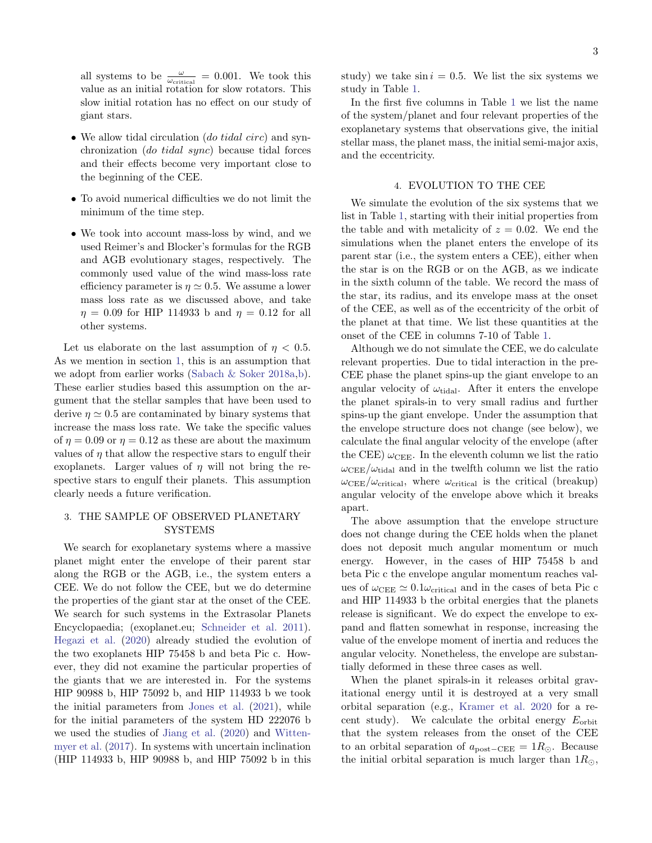all systems to be  $\frac{\omega}{\omega_{\text{critical}}} = 0.001$ . We took this value as an initial rotation for slow rotators. This slow initial rotation has no effect on our study of giant stars.

- We allow tidal circulation (do tidal circ) and synchronization (do tidal sync) because tidal forces and their effects become very important close to the beginning of the CEE.
- To avoid numerical difficulties we do not limit the minimum of the time step.
- We took into account mass-loss by wind, and we used Reimer's and Blocker's formulas for the RGB and AGB evolutionary stages, respectively. The commonly used value of the wind mass-loss rate efficiency parameter is  $\eta \simeq 0.5$ . We assume a lower mass loss rate as we discussed above, and take  $\eta = 0.09$  for HIP 114933 b and  $\eta = 0.12$  for all other systems.

Let us elaborate on the last assumption of  $\eta$  < 0.5. As we mention in section [1,](#page-0-0) this is an assumption that we adopt from earlier works [\(Sabach & Soker](#page-6-9) [2018a,](#page-6-9)[b\)](#page-6-10). These earlier studies based this assumption on the argument that the stellar samples that have been used to derive  $\eta \simeq 0.5$  are contaminated by binary systems that increase the mass loss rate. We take the specific values of  $\eta = 0.09$  or  $\eta = 0.12$  as these are about the maximum values of  $\eta$  that allow the respective stars to engulf their exoplanets. Larger values of  $\eta$  will not bring the respective stars to engulf their planets. This assumption clearly needs a future verification.

# <span id="page-2-0"></span>3. THE SAMPLE OF OBSERVED PLANETARY **SYSTEMS**

We search for exoplanetary systems where a massive planet might enter the envelope of their parent star along the RGB or the AGB, i.e., the system enters a CEE. We do not follow the CEE, but we do determine the properties of the giant star at the onset of the CEE. We search for such systems in the Extrasolar Planets Encyclopaedia; (exoplanet.eu; [Schneider et al.](#page-6-53) [2011\)](#page-6-53). [Hegazi et al.](#page-5-44) [\(2020\)](#page-5-44) already studied the evolution of the two exoplanets HIP 75458 b and beta Pic c. However, they did not examine the particular properties of the giants that we are interested in. For the systems HIP 90988 b, HIP 75092 b, and HIP 114933 b we took the initial parameters from [Jones et al.](#page-5-45) [\(2021\)](#page-5-45), while for the initial parameters of the system HD 222076 b we used the studies of [Jiang et al.](#page-5-46) [\(2020\)](#page-5-46) and [Witten](#page-7-4)[myer et al.](#page-7-4) [\(2017\)](#page-7-4). In systems with uncertain inclination (HIP 114933 b, HIP 90988 b, and HIP 75092 b in this

In the first five columns in Table [1](#page-3-1) we list the name of the system/planet and four relevant properties of the exoplanetary systems that observations give, the initial stellar mass, the planet mass, the initial semi-major axis, and the eccentricity.

#### 4. EVOLUTION TO THE CEE

<span id="page-2-1"></span>We simulate the evolution of the six systems that we list in Table [1,](#page-3-1) starting with their initial properties from the table and with metalicity of  $z = 0.02$ . We end the simulations when the planet enters the envelope of its parent star (i.e., the system enters a CEE), either when the star is on the RGB or on the AGB, as we indicate in the sixth column of the table. We record the mass of the star, its radius, and its envelope mass at the onset of the CEE, as well as of the eccentricity of the orbit of the planet at that time. We list these quantities at the onset of the CEE in columns 7-10 of Table [1.](#page-3-1)

Although we do not simulate the CEE, we do calculate relevant properties. Due to tidal interaction in the pre-CEE phase the planet spins-up the giant envelope to an angular velocity of  $\omega_{\text{tidal}}$ . After it enters the envelope the planet spirals-in to very small radius and further spins-up the giant envelope. Under the assumption that the envelope structure does not change (see below), we calculate the final angular velocity of the envelope (after the CEE)  $\omega_{\text{CEE}}$ . In the eleventh column we list the ratio  $\omega_{\text{CEE}}/\omega_{\text{tidal}}$  and in the twelfth column we list the ratio  $\omega_{\text{CEE}}/\omega_{\text{critical}}$ , where  $\omega_{\text{critical}}$  is the critical (breakup) angular velocity of the envelope above which it breaks apart.

The above assumption that the envelope structure does not change during the CEE holds when the planet does not deposit much angular momentum or much energy. However, in the cases of HIP 75458 b and beta Pic c the envelope angular momentum reaches values of  $\omega_{\rm CEE} \simeq 0.1 \omega_{\rm critical}$  and in the cases of beta Pic c and HIP 114933 b the orbital energies that the planets release is significant. We do expect the envelope to expand and flatten somewhat in response, increasing the value of the envelope moment of inertia and reduces the angular velocity. Nonetheless, the envelope are substantially deformed in these three cases as well.

When the planet spirals-in it releases orbital gravitational energy until it is destroyed at a very small orbital separation (e.g., [Kramer et al.](#page-6-22) [2020](#page-6-22) for a recent study). We calculate the orbital energy  $E_{\text{orbit}}$ that the system releases from the onset of the CEE to an orbital separation of  $a_{\text{post}-\text{CEE}} = 1R_{\odot}$ . Because the initial orbital separation is much larger than  $1R_{\odot}$ ,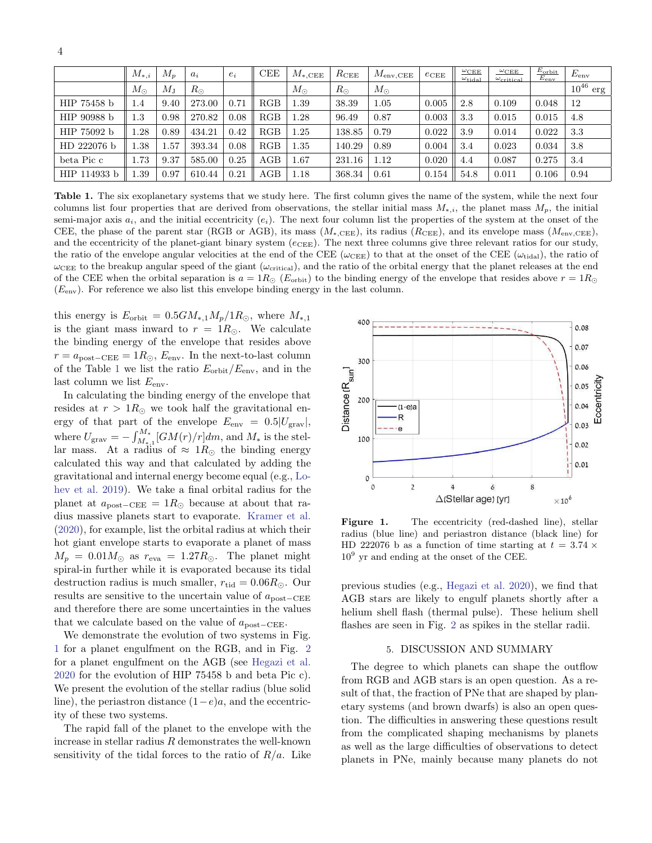|              | $M_{*,i}$        | $M_n$       | $a_i$       | $e_i$ | <b>CEE</b> | $M_{\rm *, CEE}$ | $R_{\rm CEE}$ | $M_{\rm env, CEE}$ | $e_{\rm CEE}$          | $\omega_{\rm CEE}$<br>$\omega_{\rm tidal}$ | $\omega_{\rm CEE}$<br>$\omega_{\rm critical}$ | $E_{\rm orbit}$<br>$E_{env}$ | $E_{env}$     |
|--------------|------------------|-------------|-------------|-------|------------|------------------|---------------|--------------------|------------------------|--------------------------------------------|-----------------------------------------------|------------------------------|---------------|
|              | $M_{\odot}$      | $M_{\rm J}$ | $R_{\odot}$ |       |            | $M_{\odot}$      | $R_{\odot}$   | $M_{\odot}$        |                        |                                            |                                               |                              | $10^{46}$ erg |
| HIP 75458 b  | 1.4              | 9.40        | 273.00      | 0.71  | RGB        | 1.39             | 38.39         | 1.05               | 0.005                  | 2.8                                        | 0.109                                         | 0.048                        | 12            |
| HIP 90988 b  | $1.3\,$          | 0.98        | 270.82      | 0.08  | RGB        | 1.28             | 96.49         | 0.87               | 0.003                  | 3.3                                        | 0.015                                         | 0.015                        | 4.8           |
| HIP 75092 b  | $\overline{.28}$ | 0.89        | 434.21      | 0.42  | RGB        | 1.25             | 138.85        | 0.79               | 0.022                  | 3.9                                        | 0.014                                         | 0.022                        | 3.3           |
| HD 222076 b  | $\cdot$ 38       | 1.57        | 393.34      | 0.08  | RGB        | 1.35             | 140.29        | 0.89               | 0.004                  | 3.4                                        | 0.023                                         | 0.034                        | 3.8           |
| beta Pic c   | 1.73             | 9.37        | 585.00      | 0.25  | AGB        | 1.67             | 231.16        | 1.12               | 0.020                  | 4.4                                        | 0.087                                         | 0.275                        | 3.4           |
| HIP 114933 b | 1.39             | 0.97        | 610.44      | 0.21  | AGB        | 1.18             | 368.34        | 0.61               | $0.154 \parallel 54.8$ |                                            | 0.011                                         | 0.106                        | 0.94          |

<span id="page-3-1"></span>Table 1. The six exoplanetary systems that we study here. The first column gives the name of the system, while the next four columns list four properties that are derived from observations, the stellar initial mass  $M_{*,i}$ , the planet mass  $M_p$ , the initial semi-major axis  $a_i$ , and the initial eccentricity  $(e_i)$ . The next four column list the properties of the system at the onset of the CEE, the phase of the parent star (RGB or AGB), its mass  $(M_{*,\text{CEE}})$ , its radius  $(R_{\text{CEE}})$ , and its envelope mass  $(M_{\text{env,CEE}})$ , and the eccentricity of the planet-giant binary system  $(e_{\text{CEE}})$ . The next three columns give three relevant ratios for our study, the ratio of the envelope angular velocities at the end of the CEE ( $\omega_{\text{CEE}}$ ) to that at the onset of the CEE ( $\omega_{\text{tidal}}$ ), the ratio of  $\omega_{\text{CEE}}$  to the breakup angular speed of the giant ( $\omega_{\text{critical}}$ ), and the ratio of the orbital energy that the planet releases at the end of the CEE when the orbital separation is  $a = 1R_{\odot}$  (E<sub>orbit</sub>) to the binding energy of the envelope that resides above  $r = 1R_{\odot}$  $(E<sub>env</sub>)$ . For reference we also list this envelope binding energy in the last column.

this energy is  $E_{\text{orbit}} = 0.5GM_{*,1}M_p/1R_{\odot}$ , where  $M_{*,1}$ is the giant mass inward to  $r = 1R_{\odot}$ . We calculate the binding energy of the envelope that resides above  $r = a_{\text{post}-\text{CEE}} = 1R_{\odot}$ ,  $E_{\text{env}}$ . In the next-to-last column of the Table [1](#page-3-1) we list the ratio  $E_{\rm orbit}/E_{\rm env}$ , and in the last column we list  $E_{env}$ .

4

In calculating the binding energy of the envelope that resides at  $r > 1R_{\odot}$  we took half the gravitational energy of that part of the envelope  $E_{env} = 0.5|U_{grav}|$ , where  $U_{\text{grav}} = -\int_{M_{*,1}}^{M_*} [GM(r)/r] dm$ , and  $M_*$  is the stellar mass. At a radius of  $\approx 1 R_{\odot}$  the binding energy calculated this way and that calculated by adding the gravitational and internal energy become equal (e.g., [Lo](#page-6-54)[hev et al.](#page-6-54) [2019\)](#page-6-54). We take a final orbital radius for the planet at  $a_{\text{post}-\text{CEE}} = 1R_{\odot}$  because at about that radius massive planets start to evaporate. [Kramer et al.](#page-6-22) [\(2020\)](#page-6-22), for example, list the orbital radius at which their hot giant envelope starts to evaporate a planet of mass  $M_p = 0.01 M_{\odot}$  as  $r_{\text{eva}} = 1.27 R_{\odot}$ . The planet might spiral-in further while it is evaporated because its tidal destruction radius is much smaller,  $r_{tid} = 0.06R_{\odot}$ . Our results are sensitive to the uncertain value of apost−CEE and therefore there are some uncertainties in the values that we calculate based on the value of  $a_{\text{post}-\text{CEE}}$ .

We demonstrate the evolution of two systems in Fig. [1](#page-3-2) for a planet engulfment on the RGB, and in Fig. [2](#page-4-0) for a planet engulfment on the AGB (see [Hegazi et al.](#page-5-44) [2020](#page-5-44) for the evolution of HIP 75458 b and beta Pic c). We present the evolution of the stellar radius (blue solid line), the periastron distance  $(1-e)a$ , and the eccentricity of these two systems.

The rapid fall of the planet to the envelope with the increase in stellar radius  $R$  demonstrates the well-known sensitivity of the tidal forces to the ratio of  $R/a$ . Like



<span id="page-3-2"></span>Figure 1. The eccentricity (red-dashed line), stellar radius (blue line) and periastron distance (black line) for HD 222076 b as a function of time starting at  $t = 3.74 \times$  $10<sup>9</sup>$  yr and ending at the onset of the CEE.

previous studies (e.g., [Hegazi et al.](#page-5-44) [2020\)](#page-5-44), we find that AGB stars are likely to engulf planets shortly after a helium shell flash (thermal pulse). These helium shell flashes are seen in Fig. [2](#page-4-0) as spikes in the stellar radii.

# 5. DISCUSSION AND SUMMARY

<span id="page-3-0"></span>The degree to which planets can shape the outflow from RGB and AGB stars is an open question. As a result of that, the fraction of PNe that are shaped by planetary systems (and brown dwarfs) is also an open question. The difficulties in answering these questions result from the complicated shaping mechanisms by planets as well as the large difficulties of observations to detect planets in PNe, mainly because many planets do not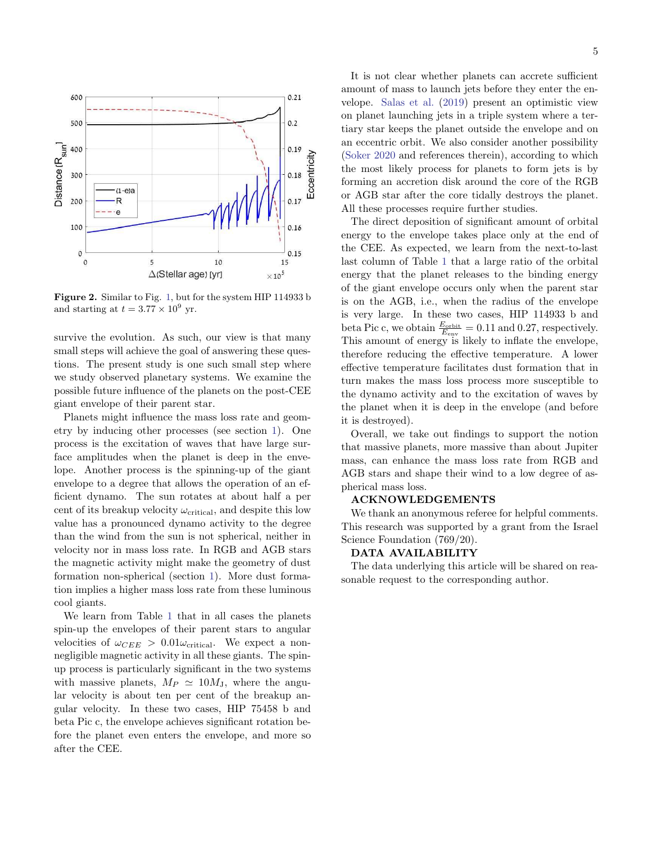

<span id="page-4-0"></span>Figure 2. Similar to Fig. [1,](#page-3-2) but for the system HIP 114933 b and starting at  $t = 3.77 \times 10^9$  yr.

survive the evolution. As such, our view is that many small steps will achieve the goal of answering these questions. The present study is one such small step where we study observed planetary systems. We examine the possible future influence of the planets on the post-CEE giant envelope of their parent star.

Planets might influence the mass loss rate and geometry by inducing other processes (see section [1\)](#page-0-0). One process is the excitation of waves that have large surface amplitudes when the planet is deep in the envelope. Another process is the spinning-up of the giant envelope to a degree that allows the operation of an efficient dynamo. The sun rotates at about half a per cent of its breakup velocity  $\omega_{\text{critical}}$ , and despite this low value has a pronounced dynamo activity to the degree than the wind from the sun is not spherical, neither in velocity nor in mass loss rate. In RGB and AGB stars the magnetic activity might make the geometry of dust formation non-spherical (section [1\)](#page-0-0). More dust formation implies a higher mass loss rate from these luminous cool giants.

We learn from Table [1](#page-3-1) that in all cases the planets spin-up the envelopes of their parent stars to angular velocities of  $\omega_{CEE} > 0.01 \omega_{critical}$ . We expect a nonnegligible magnetic activity in all these giants. The spinup process is particularly significant in the two systems with massive planets,  $M_P \simeq 10 M_J$ , where the angular velocity is about ten per cent of the breakup angular velocity. In these two cases, HIP 75458 b and beta Pic c, the envelope achieves significant rotation before the planet even enters the envelope, and more so after the CEE.

It is not clear whether planets can accrete sufficient amount of mass to launch jets before they enter the envelope. [Salas et al.](#page-6-11) [\(2019\)](#page-6-11) present an optimistic view on planet launching jets in a triple system where a tertiary star keeps the planet outside the envelope and on an eccentric orbit. We also consider another possibility [\(Soker](#page-6-29) [2020](#page-6-29) and references therein), according to which the most likely process for planets to form jets is by forming an accretion disk around the core of the RGB or AGB star after the core tidally destroys the planet. All these processes require further studies.

The direct deposition of significant amount of orbital energy to the envelope takes place only at the end of the CEE. As expected, we learn from the next-to-last last column of Table [1](#page-3-1) that a large ratio of the orbital energy that the planet releases to the binding energy of the giant envelope occurs only when the parent star is on the AGB, i.e., when the radius of the envelope is very large. In these two cases, HIP 114933 b and beta Pic c, we obtain  $\frac{E_{\text{orbit}}}{E_{\text{env}}}$  = 0.11 and 0.27, respectively. This amount of energy is likely to inflate the envelope, therefore reducing the effective temperature. A lower effective temperature facilitates dust formation that in turn makes the mass loss process more susceptible to the dynamo activity and to the excitation of waves by the planet when it is deep in the envelope (and before it is destroyed).

Overall, we take out findings to support the notion that massive planets, more massive than about Jupiter mass, can enhance the mass loss rate from RGB and AGB stars and shape their wind to a low degree of aspherical mass loss.

## ACKNOWLEDGEMENTS

We thank an anonymous referee for helpful comments. This research was supported by a grant from the Israel Science Foundation (769/20).

### DATA AVAILABILITY

The data underlying this article will be shared on reasonable request to the corresponding author.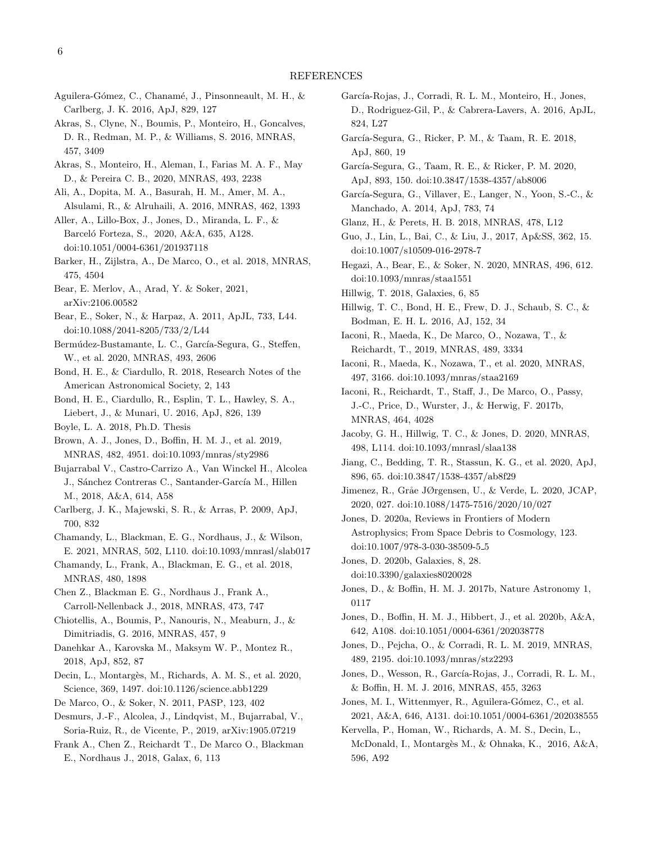- <span id="page-5-41"></span>Aguilera-Gómez, C., Chanamé, J., Pinsonneault, M. H., & Carlberg, J. K. 2016, ApJ, 829, 127
- <span id="page-5-2"></span>Akras, S., Clyne, N., Boumis, P., Monteiro, H., Goncalves, D. R., Redman, M. P., & Williams, S. 2016, MNRAS, 457, 3409
- <span id="page-5-21"></span>Akras, S., Monteiro, H., Aleman, I., Farias M. A. F., May D., & Pereira C. B., 2020, MNRAS, 493, 2238
- <span id="page-5-8"></span>Ali, A., Dopita, M. A., Basurah, H. M., Amer, M. A., Alsulami, R., & Alruhaili, A. 2016, MNRAS, 462, 1393
- <span id="page-5-22"></span>Aller, A., Lillo-Box, J., Jones, D., Miranda, L. F., & Barceló Forteza, S., 2020, A&A, 635, A128. doi:10.1051/0004-6361/201937118
- <span id="page-5-10"></span>Barker, H., Zijlstra, A., De Marco, O., et al. 2018, MNRAS, 475, 4504
- <span id="page-5-31"></span>Bear, E. Merlov, A., Arad, Y. & Soker, 2021, arXiv:2106.00582
- <span id="page-5-30"></span>Bear, E., Soker, N., & Harpaz, A. 2011, ApJL, 733, L44. doi:10.1088/2041-8205/733/2/L44
- <span id="page-5-23"></span>Bermúdez-Bustamante, L. C., García-Segura, G., Steffen, W., et al. 2020, MNRAS, 493, 2606
- <span id="page-5-11"></span>Bond, H. E., & Ciardullo, R. 2018, Research Notes of the American Astronomical Society, 2, 143
- <span id="page-5-7"></span>Bond, H. E., Ciardullo, R., Esplin, T. L., Hawley, S. A., Liebert, J., & Munari, U. 2016, ApJ, 826, 139
- <span id="page-5-28"></span>Boyle, L. A. 2018, Ph.D. Thesis
- <span id="page-5-18"></span>Brown, A. J., Jones, D., Boffin, H. M. J., et al. 2019, MNRAS, 482, 4951. doi:10.1093/mnras/sty2986
- <span id="page-5-12"></span>Bujarrabal V., Castro-Carrizo A., Van Winckel H., Alcolea J., Sánchez Contreras C., Santander-García M., Hillen M., 2018, A&A, 614, A58
- <span id="page-5-39"></span>Carlberg, J. K., Majewski, S. R., & Arras, P. 2009, ApJ, 700, 832
- <span id="page-5-32"></span>Chamandy, L., Blackman, E. G., Nordhaus, J., & Wilson, E. 2021, MNRAS, 502, L110. doi:10.1093/mnrasl/slab017
- <span id="page-5-35"></span>Chamandy, L., Frank, A., Blackman, E. G., et al. 2018, MNRAS, 480, 1898
- <span id="page-5-13"></span>Chen Z., Blackman E. G., Nordhaus J., Frank A., Carroll-Nellenback J., 2018, MNRAS, 473, 747
- <span id="page-5-3"></span>Chiotellis, A., Boumis, P., Nanouris, N., Meaburn, J., & Dimitriadis, G. 2016, MNRAS, 457, 9
- <span id="page-5-14"></span>Danehkar A., Karovska M., Maksym W. P., Montez R., 2018, ApJ, 852, 87
- <span id="page-5-29"></span>Decin, L., Montargès, M., Richards, A. M. S., et al. 2020, Science, 369, 1497. doi:10.1126/science.abb1229
- <span id="page-5-19"></span><span id="page-5-1"></span>De Marco, O., & Soker, N. 2011, PASP, 123, 402
- Desmurs, J.-F., Alcolea, J., Lindqvist, M., Bujarrabal, V., Soria-Ruiz, R., de Vicente, P., 2019, arXiv:1905.07219
- <span id="page-5-15"></span>Frank A., Chen Z., Reichardt T., De Marco O., Blackman E., Nordhaus J., 2018, Galax, 6, 113
- <span id="page-5-5"></span>García-Rojas, J., Corradi, R. L. M., Monteiro, H., Jones, D., Rodriguez-Gil, P., & Cabrera-Lavers, A. 2016, ApJL, 824, L27
- <span id="page-5-16"></span>García-Segura, G., Ricker, P. M., & Taam, R. E. 2018, ApJ, 860, 19
- <span id="page-5-34"></span>García-Segura, G., Taam, R. E., & Ricker, P. M. 2020, ApJ, 893, 150. doi:10.3847/1538-4357/ab8006
- <span id="page-5-40"></span>García-Segura, G., Villaver, E., Langer, N., Yoon, S.-C., & Manchado, A. 2014, ApJ, 783, 74
- <span id="page-5-36"></span>Glanz, H., & Perets, H. B. 2018, MNRAS, 478, L12
- <span id="page-5-42"></span>Guo, J., Lin, L., Bai, C., & Liu, J., 2017, Ap&SS, 362, 15. doi:10.1007/s10509-016-2978-7
- <span id="page-5-44"></span>Hegazi, A., Bear, E., & Soker, N. 2020, MNRAS, 496, 612. doi:10.1093/mnras/staa1551
- <span id="page-5-17"></span>Hillwig, T. 2018, Galaxies, 6, 85
- <span id="page-5-6"></span>Hillwig, T. C., Bond, H. E., Frew, D. J., Schaub, S. C., & Bodman, E. H. L. 2016, AJ, 152, 34
- <span id="page-5-37"></span>Iaconi, R., Maeda, K., De Marco, O., Nozawa, T., & Reichardt, T., 2019, MNRAS, 489, 3334
- <span id="page-5-38"></span>Iaconi, R., Maeda, K., Nozawa, T., et al. 2020, MNRAS, 497, 3166. doi:10.1093/mnras/staa2169
- <span id="page-5-33"></span>Iaconi, R., Reichardt, T., Staff, J., De Marco, O., Passy, J.-C., Price, D., Wurster, J., & Herwig, F. 2017b, MNRAS, 464, 4028
- <span id="page-5-24"></span>Jacoby, G. H., Hillwig, T. C., & Jones, D. 2020, MNRAS, 498, L114. doi:10.1093/mnrasl/slaa138
- <span id="page-5-46"></span>Jiang, C., Bedding, T. R., Stassun, K. G., et al. 2020, ApJ, 896, 65. doi:10.3847/1538-4357/ab8f29
- <span id="page-5-43"></span>Jimenez, R., Gråe JØrgensen, U., & Verde, L. 2020, JCAP, 2020, 027. doi:10.1088/1475-7516/2020/10/027
- <span id="page-5-25"></span>Jones, D. 2020a, Reviews in Frontiers of Modern Astrophysics; From Space Debris to Cosmology, 123. doi:10.1007/978-3-030-38509-5 5
- <span id="page-5-26"></span>Jones, D. 2020b, Galaxies, 8, 28. doi:10.3390/galaxies8020028
- <span id="page-5-9"></span>Jones, D., & Boffin, H. M. J. 2017b, Nature Astronomy 1, 0117
- <span id="page-5-0"></span>Jones, D., Boffin, H. M. J., Hibbert, J., et al. 2020b, A&A, 642, A108. doi:10.1051/0004-6361/202038778
- <span id="page-5-20"></span>Jones, D., Pejcha, O., & Corradi, R. L. M. 2019, MNRAS, 489, 2195. doi:10.1093/mnras/stz2293
- <span id="page-5-4"></span>Jones, D., Wesson, R., García-Rojas, J., Corradi, R. L. M., & Boffin, H. M. J. 2016, MNRAS, 455, 3263
- <span id="page-5-45"></span>Jones, M. I., Wittenmyer, R., Aguilera-Gómez, C., et al. 2021, A&A, 646, A131. doi:10.1051/0004-6361/202038555
- <span id="page-5-27"></span>Kervella, P., Homan, W., Richards, A. M. S., Decin, L., McDonald, I., Montargès M., & Ohnaka, K., 2016, A&A, 596, A92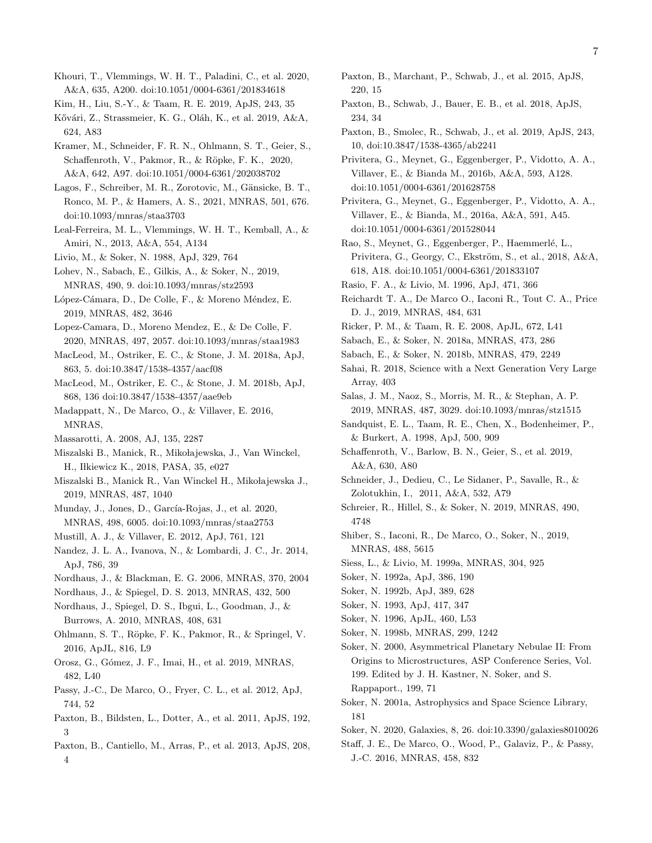- <span id="page-6-36"></span>Khouri, T., Vlemmings, W. H. T., Paladini, C., et al. 2020, A&A, 635, A200. doi:10.1051/0004-6361/201834618
- <span id="page-6-4"></span>Kim, H., Liu, S.-Y., & Taam, R. E. 2019, ApJS, 243, 35
- <span id="page-6-5"></span>Kővári, Z., Strassmeier, K. G., Oláh, K., et al. 2019, A&A, 624, A83
- <span id="page-6-22"></span>Kramer, M., Schneider, F. R. N., Ohlmann, S. T., Geier, S., Schaffenroth, V., Pakmor, R., & Röpke, F. K., 2020, A&A, 642, A97. doi:10.1051/0004-6361/202038702
- <span id="page-6-13"></span>Lagos, F., Schreiber, M. R., Zorotovic, M., Gänsicke, B. T., Ronco, M. P., & Hamers, A. S., 2021, MNRAS, 501, 676. doi:10.1093/mnras/staa3703
- <span id="page-6-32"></span>Leal-Ferreira, M. L., Vlemmings, W. H. T., Kemball, A., & Amiri, N., 2013, A&A, 554, A134
- <span id="page-6-14"></span>Livio, M., & Soker, N. 1988, ApJ, 329, 764
- <span id="page-6-54"></span>Lohev, N., Sabach, E., Gilkis, A., & Soker, N., 2019, MNRAS, 490, 9. doi:10.1093/mnras/stz2593
- <span id="page-6-25"></span>López-Cámara, D., De Colle, F., & Moreno Méndez, E. 2019, MNRAS, 482, 3646
- <span id="page-6-28"></span>Lopez-Camara, D., Moreno Mendez, E., & De Colle, F. 2020, MNRAS, 497, 2057. doi:10.1093/mnras/staa1983
- <span id="page-6-21"></span>MacLeod, M., Ostriker, E. C., & Stone, J. M. 2018a, ApJ, 863, 5. doi:10.3847/1538-4357/aacf08
- <span id="page-6-1"></span>MacLeod, M., Ostriker, E. C., & Stone, J. M. 2018b, ApJ, 868, 136 doi:10.3847/1538-4357/aae9eb
- <span id="page-6-0"></span>Madappatt, N., De Marco, O., & Villaver, E. 2016, MNRAS,
- <span id="page-6-40"></span><span id="page-6-2"></span>Massarotti, A. 2008, AJ, 135, 2287
- Miszalski B., Manick, R., Mikołajewska, J., Van Winckel, H., Iłkiewicz K., 2018, PASA, 35, e027
- <span id="page-6-6"></span>Miszalski B., Manick R., Van Winckel H., Mikołajewska J., 2019, MNRAS, 487, 1040
- <span id="page-6-8"></span>Munday, J., Jones, D., García-Rojas, J., et al. 2020, MNRAS, 498, 6005. doi:10.1093/mnras/staa2753
- <span id="page-6-42"></span>Mustill, A. J., & Villaver, E. 2012, ApJ, 761, 121
- <span id="page-6-19"></span>Nandez, J. L. A., Ivanova, N., & Lombardi, J. C., Jr. 2014, ApJ, 786, 39
- <span id="page-6-33"></span>Nordhaus, J., & Blackman, E. G. 2006, MNRAS, 370, 2004
- <span id="page-6-43"></span>Nordhaus, J., & Spiegel, D. S. 2013, MNRAS, 432, 500
- <span id="page-6-41"></span>Nordhaus, J., Spiegel, D. S., Ibgui, L., Goodman, J., & Burrows, A. 2010, MNRAS, 408, 631
- <span id="page-6-20"></span>Ohlmann, S. T., R¨opke, F. K., Pakmor, R., & Springel, V. 2016, ApJL, 816, L9
- <span id="page-6-7"></span>Orosz, G., G´omez, J. F., Imai, H., et al. 2019, MNRAS, 482, L40
- <span id="page-6-18"></span>Passy, J.-C., De Marco, O., Fryer, C. L., et al. 2012, ApJ, 744, 52
- <span id="page-6-48"></span>Paxton, B., Bildsten, L., Dotter, A., et al. 2011, ApJS, 192, 3
- <span id="page-6-49"></span>Paxton, B., Cantiello, M., Arras, P., et al. 2013, ApJS, 208, 4
- <span id="page-6-50"></span>Paxton, B., Marchant, P., Schwab, J., et al. 2015, ApJS, 220, 15
- <span id="page-6-51"></span>Paxton, B., Schwab, J., Bauer, E. B., et al. 2018, ApJS, 234, 34
- <span id="page-6-52"></span>Paxton, B., Smolec, R., Schwab, J., et al. 2019, ApJS, 243, 10, doi:10.3847/1538-4365/ab2241
- <span id="page-6-45"></span>Privitera, G., Meynet, G., Eggenberger, P., Vidotto, A. A., Villaver, E., & Bianda M., 2016b, A&A, 593, A128. doi:10.1051/0004-6361/201628758
- <span id="page-6-44"></span>Privitera, G., Meynet, G., Eggenberger, P., Vidotto, A. A., Villaver, E., & Bianda, M., 2016a, A&A, 591, A45. doi:10.1051/0004-6361/201528044
- <span id="page-6-47"></span>Rao, S., Meynet, G., Eggenberger, P., Haemmerlé, L., Privitera, G., Georgy, C., Ekström, S., et al., 2018, A&A, 618, A18. doi:10.1051/0004-6361/201833107
- <span id="page-6-15"></span>Rasio, F. A., & Livio, M. 1996, ApJ, 471, 366
- <span id="page-6-24"></span>Reichardt T. A., De Marco O., Iaconi R., Tout C. A., Price D. J., 2019, MNRAS, 484, 631
- <span id="page-6-17"></span>Ricker, P. M., & Taam, R. E. 2008, ApJL, 672, L41
- <span id="page-6-9"></span>Sabach, E., & Soker, N. 2018a, MNRAS, 473, 286
- <span id="page-6-10"></span>Sabach, E., & Soker, N. 2018b, MNRAS, 479, 2249
- <span id="page-6-3"></span>Sahai, R. 2018, Science with a Next Generation Very Large Array, 403
- <span id="page-6-11"></span>Salas, J. M., Naoz, S., Morris, M. R., & Stephan, A. P. 2019, MNRAS, 487, 3029. doi:10.1093/mnras/stz1515
- <span id="page-6-16"></span>Sandquist, E. L., Taam, R. E., Chen, X., Bodenheimer, P., & Burkert, A. 1998, ApJ, 500, 909
- <span id="page-6-12"></span>Schaffenroth, V., Barlow, B. N., Geier, S., et al. 2019, A&A, 630, A80
- <span id="page-6-53"></span>Schneider, J., Dedieu, C., Le Sidaner, P., Savalle, R., & Zolotukhin, I., 2011, A&A, 532, A79
- <span id="page-6-26"></span>Schreier, R., Hillel, S., & Soker, N. 2019, MNRAS, 490, 4748
- <span id="page-6-27"></span>Shiber, S., Iaconi, R., De Marco, O., Soker, N., 2019, MNRAS, 488, 5615
- <span id="page-6-39"></span>Siess, L., & Livio, M. 1999a, MNRAS, 304, 925
- <span id="page-6-23"></span>Soker, N. 1992a, ApJ, 386, 190
- <span id="page-6-37"></span><span id="page-6-30"></span>Soker, N. 1992b, ApJ, 389, 628
- Soker, N. 1993, ApJ, 417, 347
- <span id="page-6-38"></span>Soker, N. 1996, ApJL, 460, L53
- <span id="page-6-31"></span>Soker, N. 1998b, MNRAS, 299, 1242
- <span id="page-6-34"></span>Soker, N. 2000, Asymmetrical Planetary Nebulae II: From Origins to Microstructures, ASP Conference Series, Vol. 199. Edited by J. H. Kastner, N. Soker, and S. Rappaport., 199, 71
- <span id="page-6-35"></span>Soker, N. 2001a, Astrophysics and Space Science Library, 181
- <span id="page-6-29"></span>Soker, N. 2020, Galaxies, 8, 26. doi:10.3390/galaxies8010026
- <span id="page-6-46"></span>Staff, J. E., De Marco, O., Wood, P., Galaviz, P., & Passy, J.-C. 2016, MNRAS, 458, 832